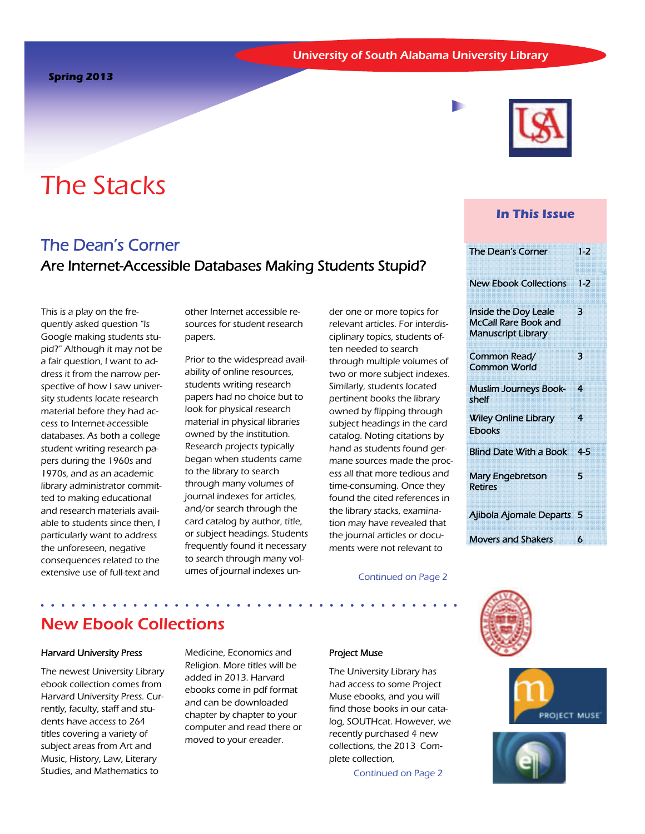# The Stacks

## The Dean's Corner Are Internet-Accessible Databases Making Students Stupid?

This is a play on the frequently asked question "Is Google making students stupid?" Although it may not be a fair question, I want to address it from the narrow perspective of how I saw university students locate research material before they had access to Internet-accessible databases. As both a college student writing research papers during the 1960s and 1970s, and as an academic library administrator committed to making educational and research materials available to students since then, I particularly want to address the unforeseen, negative consequences related to the extensive use of full-text and

other Internet accessible resources for student research papers.

Prior to the widespread availability of online resources, students writing research papers had no choice but to look for physical research material in physical libraries owned by the institution. Research projects typically began when students came to the library to search through many volumes of journal indexes for articles, and/or search through the card catalog by author, title, or subject headings. Students frequently found it necessary to search through many volumes of journal indexes under one or more topics for relevant articles. For interdisciplinary topics, students often needed to search through multiple volumes of two or more subject indexes. Similarly, students located pertinent books the library owned by flipping through subject headings in the card catalog. Noting citations by hand as students found germane sources made the process all that more tedious and time-consuming. Once they found the cited references in the library stacks, examination may have revealed that the journal articles or documents were not relevant to

#### Continued on Page 2



#### **In This Issue**

| The Dean's Corner                                                                       | $1 - 2$ |
|-----------------------------------------------------------------------------------------|---------|
| <b>New Ebook Collections</b>                                                            | $1 - 2$ |
| <b>Inside the Doy Leale</b><br><b>McCall Rare Book and</b><br><b>Manuscript Library</b> | З       |
| Common Read/<br><b>Common World</b>                                                     | З       |
| <b>Muslim Journeys Book-</b><br>shelf                                                   | 4       |
| <b>Wiley Online Library</b><br><b>Ebooks</b>                                            | 4       |
| <b>Blind Date With a Book</b>                                                           | 4-5     |
| Mary Engebretson<br><b>Retires</b>                                                      | 5       |
| Ajibola Ajomale Departs                                                                 | 5       |
| <b>Movers and Shakers</b>                                                               | 6       |







# New Ebook Collections

#### Harvard University Press

The newest University Library ebook collection comes from Harvard University Press. Currently, faculty, staff and students have access to 264 titles covering a variety of subject areas from Art and Music, History, Law, Literary Studies, and Mathematics to

Medicine, Economics and Religion. More titles will be added in 2013. Harvard ebooks come in pdf format and can be downloaded chapter by chapter to your computer and read there or moved to your ereader.

#### Project Muse

 The University Library has had access to some Project Muse ebooks, and you will find those books in our catalog, SOUTHcat. However, we recently purchased 4 new collections, the 2013 Complete collection,

Continued on Page 2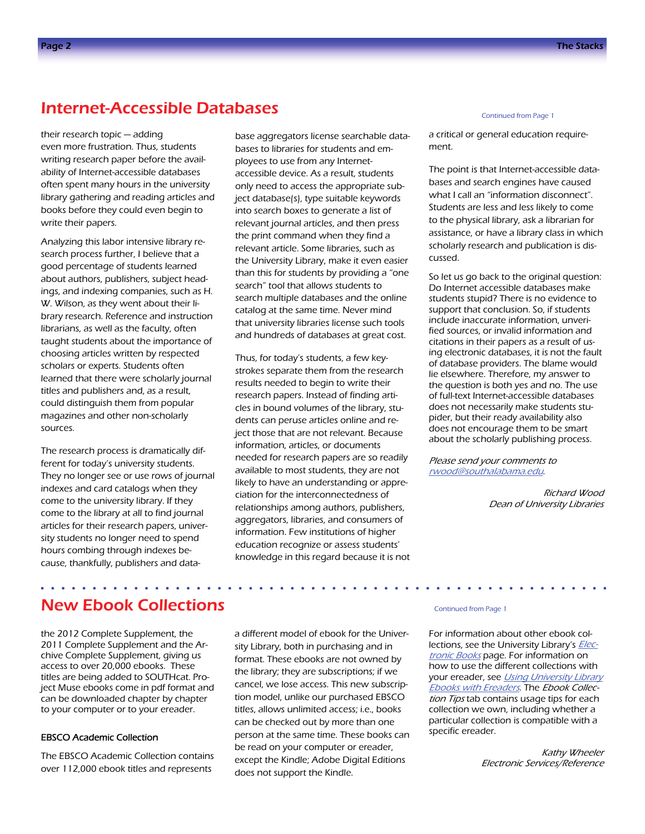### Internet-Accessible Databases

their research topic — adding even more frustration. Thus, students writing research paper before the availability of Internet-accessible databases often spent many hours in the university library gathering and reading articles and books before they could even begin to write their papers.

 ings, and indexing companies, such as H. Analyzing this labor intensive library research process further, I believe that a good percentage of students learned about authors, publishers, subject head-W. Wilson, as they went about their library research. Reference and instruction librarians, as well as the faculty, often taught students about the importance of choosing articles written by respected scholars or experts. Students often learned that there were scholarly journal titles and publishers and, as a result, could distinguish them from popular magazines and other non-scholarly sources.

The research process is dramatically different for today's university students. They no longer see or use rows of journal indexes and card catalogs when they come to the university library. If they come to the library at all to find journal articles for their research papers, university students no longer need to spend hours combing through indexes because, thankfully, publishers and database aggregators license searchable databases to libraries for students and employees to use from any Internetaccessible device. As a result, students only need to access the appropriate subject database(s), type suitable keywords into search boxes to generate a list of relevant journal articles, and then press the print command when they find a relevant article. Some libraries, such as the University Library, make it even easier than this for students by providing a "one search" tool that allows students to search multiple databases and the online catalog at the same time. Never mind that university libraries license such tools and hundreds of databases at great cost.

 education recognize or assess students' Thus, for today's students, a few keystrokes separate them from the research results needed to begin to write their research papers. Instead of finding articles in bound volumes of the library, students can peruse articles online and reject those that are not relevant. Because information, articles, or documents needed for research papers are so readily available to most students, they are not likely to have an understanding or appreciation for the interconnectedness of relationships among authors, publishers, aggregators, libraries, and consumers of information. Few institutions of higher knowledge in this regard because it is not

#### Continued from Page 1

a critical or general education requirement.

The point is that Internet-accessible databases and search engines have caused what I call an "information disconnect". Students are less and less likely to come to the physical library, ask a librarian for assistance, or have a library class in which scholarly research and publication is discussed.

So let us go back to the original question: Do Internet accessible databases make students stupid? There is no evidence to support that conclusion. So, if students include inaccurate information, unverified sources, or invalid information and citations in their papers as a result of using electronic databases, it is not the fault of database providers. The blame would lie elsewhere. Therefore, my answer to the question is both yes and no. The use of full-text Internet-accessible databases does not necessarily make students stupider, but their ready availability also does not encourage them to be smart about the scholarly publishing process.

Please send your comments to [rwood@southalabama.edu](mailto:rwood@southalabama.edu).

> Richard Wood Dean of University Libraries

# New Ebook Collections

 to your computer or to your ereader. the 2012 Complete Supplement, the 2011 Complete Supplement and the Archive Complete Supplement, giving us access to over 20,000 ebooks. These titles are being added to SOUTHcat. Project Muse ebooks come in pdf format and can be downloaded chapter by chapter

#### EBSCO Academic Collection

The EBSCO Academic Collection contains over 112,000 ebook titles and represents

a different model of ebook for the University Library, both in purchasing and in format. These ebooks are not owned by the library; they are subscriptions; if we cancel, we lose access. This new subscription model, unlike our purchased EBSCO titles, allows unlimited access; i.e., books can be checked out by more than one person at the same time. These books can be read on your computer or ereader, except the Kindle; Adobe Digital Editions does not support the Kindle.

#### Continued from Page 1

For information about other ebook collections, see the University Library's *[Elec](http://library.southalabama.edu/ebooks.html)*[tronic Books](http://library.southalabama.edu/ebooks.html) page. For information on how to use the different collections with your ereader, see Using University Library [Ebooks with Ereaders](http://libguides.southalabama.edu/ereaders). The Ebook Collection Tips tab contains usage tips for each collection we own, including whether a particular collection is compatible with a specific ereader.

> Kathy Wheeler Electronic Services/Reference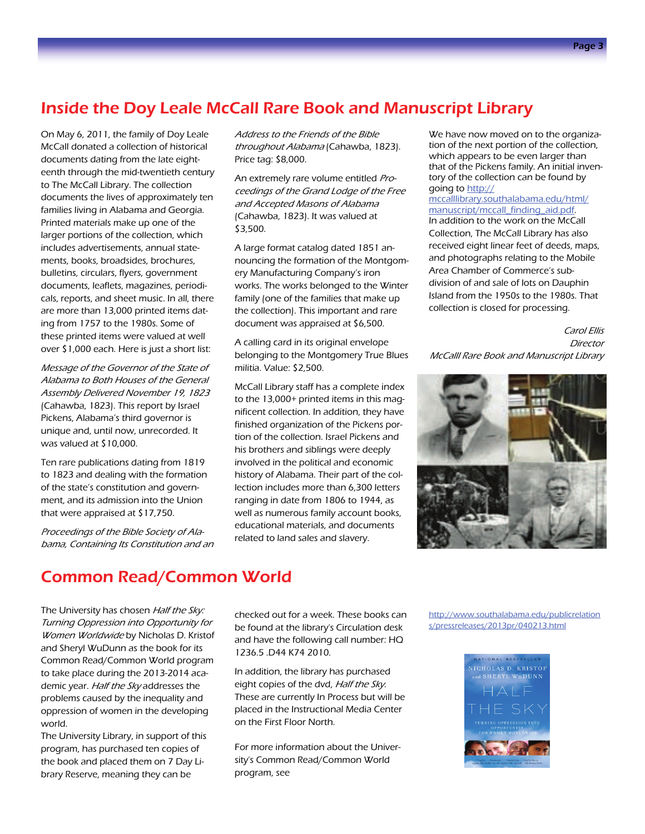# Inside the Doy Leale McCall Rare Book and Manuscript Library

On May 6, 2011, the family of Doy Leale McCall donated a collection of historical documents dating from the late eighteenth through the mid-twentieth century to The McCall Library. The collection documents the lives of approximately ten families living in Alabama and Georgia. Printed materials make up one of the larger portions of the collection, which includes advertisements, annual statements, books, broadsides, brochures, bulletins, circulars, flyers, government documents, leaflets, magazines, periodicals, reports, and sheet music. In all, there are more than 13,000 printed items dating from 1757 to the 1980s. Some of these printed items were valued at well over \$1,000 each. Here is just a short list:

Message of the Governor of the State of Alabama to Both Houses of the General Assembly Delivered November 19, 1823 (Cahawba, 1823). This report by Israel Pickens, Alabama's third governor is unique and, until now, unrecorded. It was valued at \$10,000.

Ten rare publications dating from 1819 to 1823 and dealing with the formation of the state's constitution and government, and its admission into the Union that were appraised at \$17,750.

Proceedings of the Bible Society of Alabama, Containing Its Constitution and an Address to the Friends of the Bible throughout Alabama (Cahawba, 1823). Price tag: \$8,000.

An extremely rare volume entitled Proceedings of the Grand Lodge of the Free and Accepted Masons of Alabama (Cahawba, 1823). It was valued at \$3,500.

A large format catalog dated 1851 announcing the formation of the Montgomery Manufacturing Company's iron works. The works belonged to the Winter family (one of the families that make up the collection). This important and rare document was appraised at \$6,500.

A calling card in its original envelope belonging to the Montgomery True Blues militia. Value: \$2,500.

McCall Library staff has a complete index to the 13,000+ printed items in this magnificent collection. In addition, they have finished organization of the Pickens portion of the collection. Israel Pickens and his brothers and siblings were deeply involved in the political and economic history of Alabama. Their part of the collection includes more than 6,300 letters ranging in date from 1806 to 1944, as well as numerous family account books, educational materials, and documents related to land sales and slavery.

We have now moved on to the organization of the next portion of the collection, which appears to be even larger than that of the Pickens family. An initial inventory of the collection can be found by going to [http://](http://mccalllibrary.southalabama.edu/html/manuscript/mccall_finding_aid.pdf)

[mccalllibrary.southalabama.edu/html/](http://mccalllibrary.southalabama.edu/html/manuscript/mccall_finding_aid.pdf) [manuscript/mccall\\_finding\\_aid.pdf](http://mccalllibrary.southalabama.edu/html/manuscript/mccall_finding_aid.pdf). In addition to the work on the McCall Collection, The McCall Library has also received eight linear feet of deeds, maps, and photographs relating to the Mobile Area Chamber of Commerce's subdivision of and sale of lots on Dauphin Island from the 1950s to the 1980s. That collection is closed for processing.

Director Carol Ellis McCalll Rare Book and Manuscript Library



# Common Read/Common World

The University has chosen Half the Sky: Turning Oppression into Opportunity for Women Worldwide by Nicholas D. Kristof and Sheryl WuDunn as the book for its Common Read/Common World program to take place during the 2013-2014 academic year. Half the Sky addresses the problems caused by the inequality and oppression of women in the developing world.

The University Library, in support of this program, has purchased ten copies of the book and placed them on 7 Day Library Reserve, meaning they can be

checked out for a week. These books can be found at the library's Circulation desk and have the following call number: HQ 1236.5 .D44 K74 2010.

In addition, the library has purchased eight copies of the dvd, Half the Sky. These are currently In Process but will be placed in the Instructional Media Center on the First Floor North.

For more information about the University's Common Read/Common World program, see

[http://www.southalabama.edu/publicrelation](http://www.southalabama.edu/publicrelations/pressreleases/2013pr/040213.html) [s/pressreleases/2013pr/040213.html](http://www.southalabama.edu/publicrelations/pressreleases/2013pr/040213.html) 

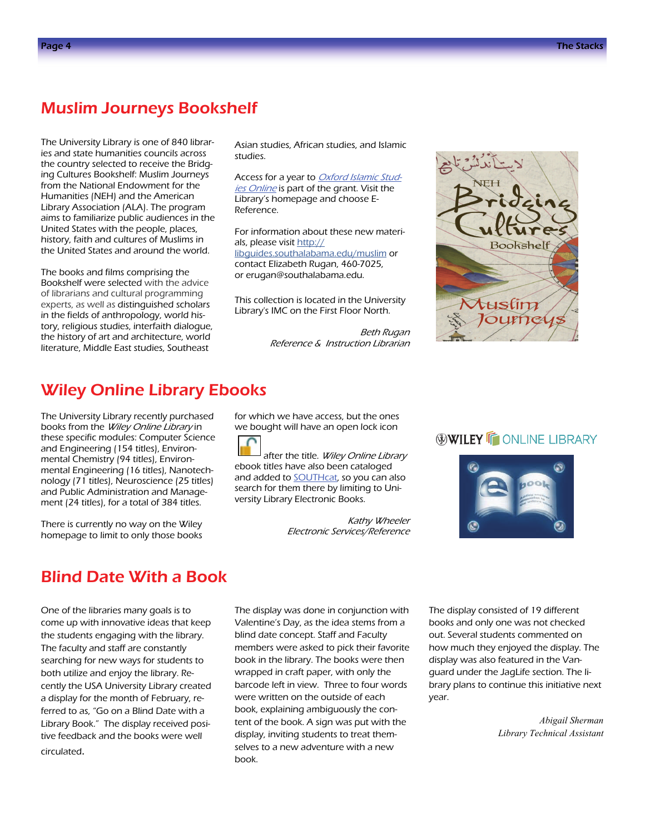### Muslim Journeys Bookshelf

The University Library is one of 840 libraries and state humanities councils across the country selected to receive the Bridging Cultures Bookshelf: Muslim Journeys from the National Endowment for the Humanities (NEH) and the American Library Association (ALA). The program aims to familiarize public audiences in the United States with the people, places, history, faith and cultures of Muslims in the United States and around the world.

The books and films comprising the Bookshelf were selected with the advice of librarians and cultural programming experts, as well as distinguished scholars in the fields of anthropology, world history, religious studies, interfaith dialogue, the history of art and architecture, world literature, Middle East studies, Southeast

Asian studies, African studies, and Islamic studies.<br>Access for a year to *[Oxford Islamic Stud-](http://libproxy2.usouthal.edu/login?url=http://www.oxfordislamicstudies.com)*

[ies Online](http://libproxy2.usouthal.edu/login?url=http://www.oxfordislamicstudies.com) is part of the grant. Visit the Library's homepage and choose E-Reference.

contact Elizabeth Rugan, 460-7025, or erugan@southalabama.edu. For information about these new materials, please visit [http://](http://libguides.southalabama.edu/muslim) [libguides.southalabama.edu/muslim](http://libguides.southalabama.edu/muslim) or

This collection is located in the University Library's IMC on the First Floor North.

> Beth Rugan Reference & Instruction Librarian



### Wiley Online Library Ebooks

 these specific modules: Computer Science The University Library recently purchased books from the Wiley Online Library in and Engineering (154 titles), Environmental Chemistry (94 titles), Environmental Engineering (16 titles), Nanotechnology (71 titles), Neuroscience (25 titles) and Public Administration and Management (24 titles), for a total of 384 titles.

There is currently no way on the Wiley homepage to limit to only those books

 we bought will have an open lock icon for which we have access, but the ones

after the title. Wiley Online Library ebook titles have also been cataloged and added to **SOUTHcat**, so you can also search for them there by limiting to University Library Electronic Books.

> Kathy Wheeler Electronic Services/Reference

### **WILEY FONLINE LIBRARY**



### Blind Date With a Book

One of the libraries many goals is to come up with innovative ideas that keep the students engaging with the library. The faculty and staff are constantly searching for new ways for students to both utilize and enjoy the library. Recently the USA University Library created a display for the month of February, referred to as, "Go on a Blind Date with a Library Book." The display received positive feedback and the books were well circulated.

The display was done in conjunction with Valentine's Day, as the idea stems from a blind date concept. Staff and Faculty members were asked to pick their favorite book in the library. The books were then wrapped in craft paper, with only the barcode left in view. Three to four words were written on the outside of each book, explaining ambiguously the content of the book. A sign was put with the display, inviting students to treat themselves to a new adventure with a new book.

The display consisted of 19 different books and only one was not checked out. Several students commented on how much they enjoyed the display. The display was also featured in the Vanguard under the JagLife section. The library plans to continue this initiative next year.

> *Abigail Sherman Library Technical Assistant*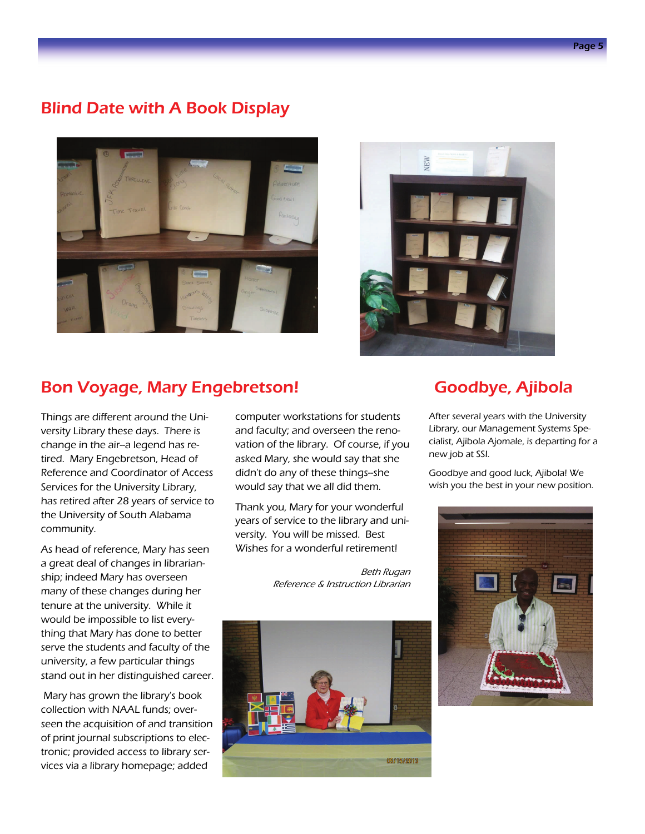# Blind Date with A Book Display





### Bon Voyage, Mary Engebretson!

 versity Library these days. There is Things are different around the Unichange in the air-a legend has retired. Mary Engebretson, Head of Reference and Coordinator of Access Services for the University Library, has retired after 28 years of service to the University of South Alabama community.

 tenure at the university. While it As head of reference, Mary has seen a great deal of changes in librarianship; indeed Mary has overseen many of these changes during her would be impossible to list everything that Mary has done to better serve the students and faculty of the university, a few particular things stand out in her distinguished career.

 Mary has grown the library's book collection with NAAL funds; overseen the acquisition of and transition of print journal subscriptions to electronic; provided access to library services via a library homepage; added

computer workstations for students and faculty; and overseen the renovation of the library. Of course, if you asked Mary, she would say that she didn't do any of these things--she would say that we all did them.

Thank you, Mary for your wonderful years of service to the library and university. You will be missed. Best Wishes for a wonderful retirement!

> Beth Rugan Reference & Instruction Librarian



### Goodbye, Ajibola

After several years with the University Library, our Management Systems Specialist, Ajibola Ajomale, is departing for a new job at SSI.

Goodbye and good luck, Ajibola! We wish you the best in your new position.